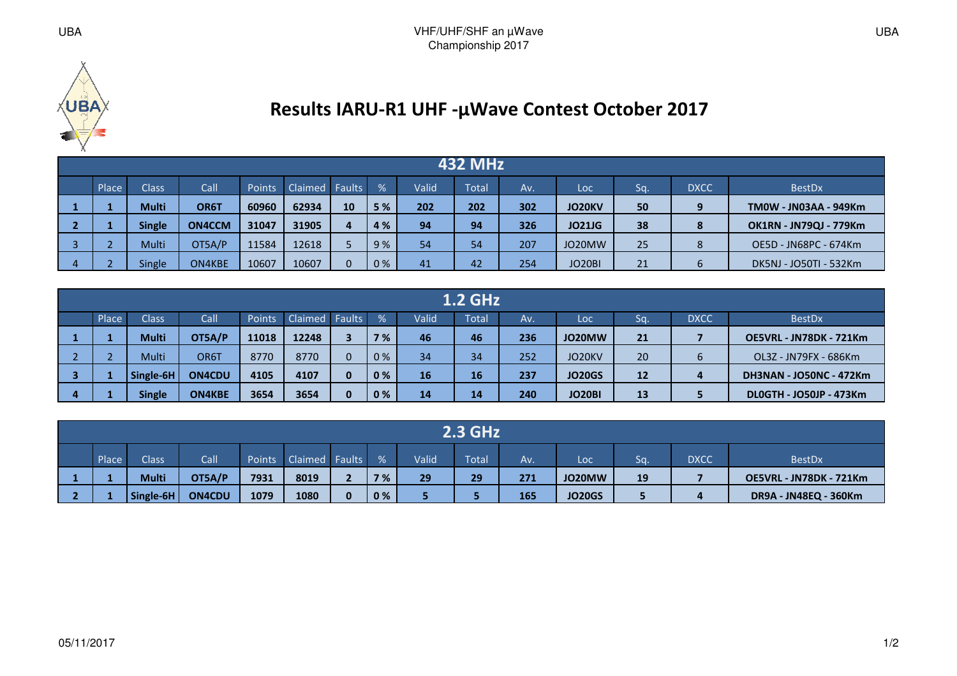

## **Results IARU-R1 UHF -µWave Contest October 2017**

| <b>432 MHz</b> |               |               |               |                |          |     |       |       |     |               |    |             |                               |
|----------------|---------------|---------------|---------------|----------------|----------|-----|-------|-------|-----|---------------|----|-------------|-------------------------------|
| Place          | <b>Class</b>  | Call          | <b>Points</b> | Claimed Faults |          | %   | Valid | Total | Av. | Loc           | Sq | <b>DXCC</b> | <b>BestDx</b>                 |
|                | <b>Multi</b>  | OR6T          | 60960         | 62934          | 10       | 5%  | 202   | 202   | 302 | <b>JO20KV</b> | 50 |             | <b>TM0W - JN03AA - 949Km</b>  |
|                | <b>Single</b> | <b>ON4CCM</b> | 31047         | 31905          | 4        | 4 % | 94    | 94    | 326 | <b>JO21JG</b> | 38 | 8           | <b>OK1RN - JN79QJ - 779Km</b> |
|                | Multi         | OT5A/P        | 11584         | 12618          |          | 9%  | 54    | 54    | 207 | JO20MW        | 25 | 8           | OE5D - JN68PC - 674Km         |
|                | Single        | ON4KBE        | 10607         | 10607          | $\Omega$ | 0%  | 41    | 42    | 254 | JO20BI        | 21 | ь           | DK5NJ - JO50TI - 532Km        |

|                                                                                                                                                          |               |               |       |       |          |     |    | <b>1.2 GHz</b> |     |               |    |  |                                |
|----------------------------------------------------------------------------------------------------------------------------------------------------------|---------------|---------------|-------|-------|----------|-----|----|----------------|-----|---------------|----|--|--------------------------------|
| Place<br>Claimed Faults<br>Valid<br><b>Class</b><br><b>Call</b><br>$\frac{9}{6}$<br><b>DXCC</b><br>Points<br>Total<br><b>BestDx</b><br>Sq.<br>Loc<br>Av. |               |               |       |       |          |     |    |                |     |               |    |  |                                |
|                                                                                                                                                          | <b>Multi</b>  | OT5A/P        | 11018 | 12248 | 3        | 7 % | 46 | 46             | 236 | JO20MW        | 21 |  | OE5VRL - JN78DK - 721Km        |
|                                                                                                                                                          | Multi         | OR6T          | 8770  | 8770  | $\Omega$ | 0%  | 34 | 34             | 252 | JO20KV        | 20 |  | OL3Z - JN79FX - 686Km          |
|                                                                                                                                                          | Single-6H     | <b>ON4CDU</b> | 4105  | 4107  | $\bf{0}$ | 0%  | 16 | 16             | 237 | <b>JO20GS</b> | 12 |  | <b>DH3NAN - JO50NC - 472Km</b> |
|                                                                                                                                                          | <b>Single</b> | <b>ON4KBE</b> | 3654  | 3654  | $\bf{0}$ | 0%  | 14 | 14             | 240 | <b>JO20BI</b> | 13 |  | <b>DLOGTH - JO50JP - 473Km</b> |

| <b>2.3 GHz</b> |           |               |               |                |              |      |       |              |     |               |    |             |                         |  |
|----------------|-----------|---------------|---------------|----------------|--------------|------|-------|--------------|-----|---------------|----|-------------|-------------------------|--|
| Place          | Class     | Call          | <b>Points</b> | Claimed Faults |              | $\%$ | Valid | <b>Total</b> | Av. | Loc           | Sq | <b>DXCC</b> | <b>BestDx</b>           |  |
|                | Multi     | OT5A/P        | 7931          | 8019           |              | 7 %  | 29    | 29           | 271 | JO20MW        | 19 |             | OE5VRL - JN78DK - 721Km |  |
|                | Single-6H | <b>ON4CDU</b> | 1079          | 1080           | $\mathbf{0}$ | 0%   |       |              | 165 | <b>JO20GS</b> |    |             | DR9A - JN48EQ - 360Km   |  |